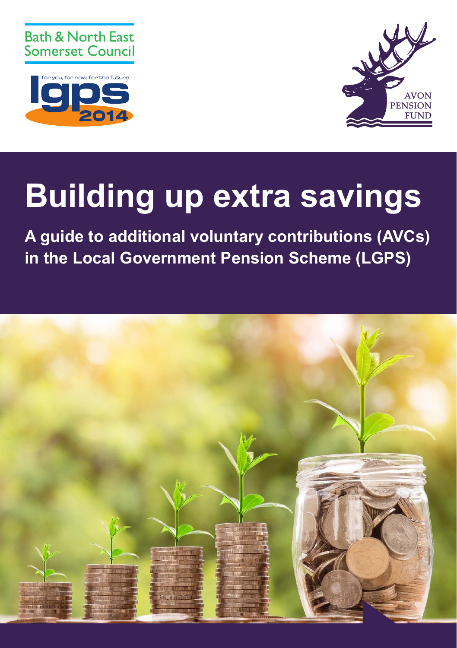





# **Building up extra savings**

**A guide to additional voluntary contributions (AVCs) in the Local Government Pension Scheme (LGPS)**

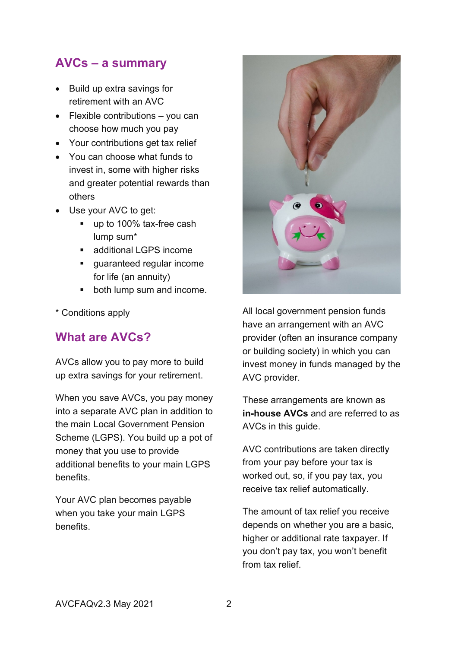# **AVCs – a summary**

- Build up extra savings for retirement with an AVC
- Flexible contributions you can choose how much you pay
- Your contributions get tax relief
- You can choose what funds to invest in, some with higher risks and greater potential rewards than others
- Use your AVC to get:
	- up to 100% tax-free cash lump sum\*
	- additional LGPS income
	- quaranteed regular income for life (an annuity)
	- both lump sum and income.
- \* Conditions apply

# **What are AVCs?**

AVCs allow you to pay more to build up extra savings for your retirement.

When you save AVCs, you pay money into a separate AVC plan in addition to the main Local Government Pension Scheme (LGPS). You build up a pot of money that you use to provide additional benefits to your main LGPS benefits.

Your AVC plan becomes payable when you take your main LGPS benefits.



All local government pension funds have an arrangement with an AVC provider (often an insurance company or building society) in which you can invest money in funds managed by the AVC provider.

These arrangements are known as **in-house AVCs** and are referred to as AVCs in this guide.

AVC contributions are taken directly from your pay before your tax is worked out, so, if you pay tax, you receive tax relief automatically.

The amount of tax relief you receive depends on whether you are a basic, higher or additional rate taxpayer. If you don't pay tax, you won't benefit from tax relief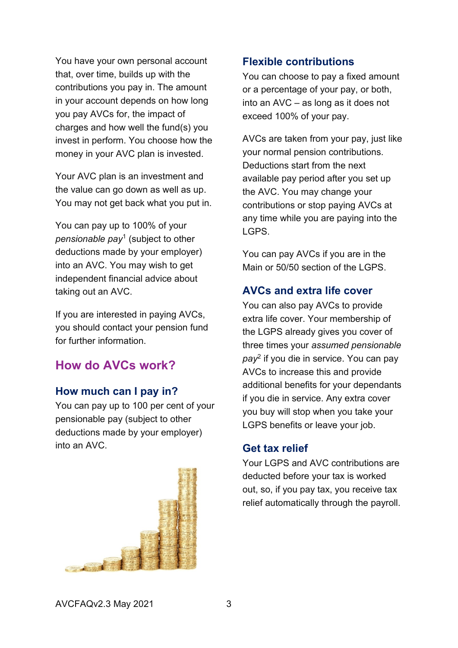You have your own personal account that, over time, builds up with the contributions you pay in. The amount in your account depends on how long you pay AVCs for, the impact of charges and how well the fund(s) you invest in perform. You choose how the money in your AVC plan is invested.

Your AVC plan is an investment and the value can go down as well as up. You may not get back what you put in.

You can pay up to 100% of your *pensionable pay*<sup>1</sup> (subject to other deductions made by your employer) into an AVC. You may wish to get independent financial advice about taking out an AVC.

If you are interested in paying AVCs, you should contact your pension fund for further information.

# **How do AVCs work?**

## **How much can I pay in?**

You can pay up to 100 per cent of your pensionable pay (subject to other deductions made by your employer) into an AVC.



## **Flexible contributions**

You can choose to pay a fixed amount or a percentage of your pay, or both, into an AVC – as long as it does not exceed 100% of your pay.

AVCs are taken from your pay, just like your normal pension contributions. Deductions start from the next available pay period after you set up the AVC. You may change your contributions or stop paying AVCs at any time while you are paying into the LGPS.

You can pay AVCs if you are in the Main or 50/50 section of the LGPS.

## **AVCs and extra life cover**

You can also pay AVCs to provide extra life cover. Your membership of the LGPS already gives you cover of three times your *assumed pensionable pay*<sup>2</sup> if you die in service. You can pay AVCs to increase this and provide additional benefits for your dependants if you die in service. Any extra cover you buy will stop when you take your LGPS benefits or leave your job.

#### **Get tax relief**

Your LGPS and AVC contributions are deducted before your tax is worked out, so, if you pay tax, you receive tax relief automatically through the payroll.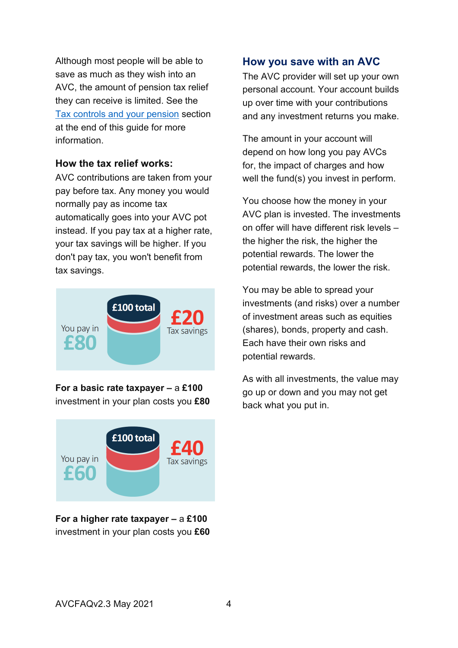Although most people will be able to save as much as they wish into an AVC, the amount of pension tax relief they can receive is limited. See the [Tax controls and your pension](#page-10-0) section at the end of this guide for more information.

#### **How the tax relief works:**

AVC contributions are taken from your pay before tax. Any money you would normally pay as income tax automatically goes into your AVC pot instead. If you pay tax at a higher rate, your tax savings will be higher. If you don't pay tax, you won't benefit from tax savings.



**For a basic rate taxpayer –** a **£100** investment in your plan costs you **£80**



**For a higher rate taxpayer –** a **£100** investment in your plan costs you **£60**

## **How you save with an AVC**

The AVC provider will set up your own personal account. Your account builds up over time with your contributions and any investment returns you make.

The amount in your account will depend on how long you pay AVCs for, the impact of charges and how well the fund(s) you invest in perform.

You choose how the money in your AVC plan is invested. The investments on offer will have different risk levels – the higher the risk, the higher the potential rewards. The lower the potential rewards, the lower the risk.

You may be able to spread your investments (and risks) over a number of investment areas such as equities (shares), bonds, property and cash. Each have their own risks and potential rewards.

As with all investments, the value may go up or down and you may not get back what you put in.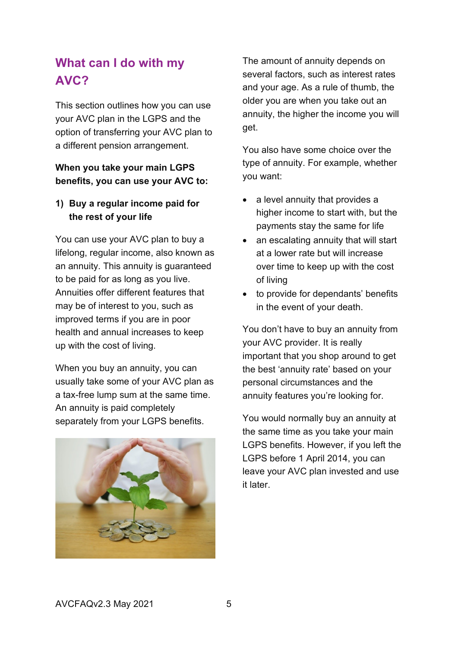# **What can I do with my AVC?**

This section outlines how you can use your AVC plan in the LGPS and the option of transferring your AVC plan to a different pension arrangement.

#### **When you take your main LGPS benefits, you can use your AVC to:**

#### **1) Buy a regular income paid for the rest of your life**

You can use your AVC plan to buy a lifelong, regular income, also known as an annuity. This annuity is guaranteed to be paid for as long as you live. Annuities offer different features that may be of interest to you, such as improved terms if you are in poor health and annual increases to keep up with the cost of living.

When you buy an annuity, you can usually take some of your AVC plan as a tax-free lump sum at the same time. An annuity is paid completely separately from your LGPS benefits.



The amount of annuity depends on several factors, such as interest rates and your age. As a rule of thumb, the older you are when you take out an annuity, the higher the income you will get.

You also have some choice over the type of annuity. For example, whether you want:

- a level annuity that provides a higher income to start with, but the payments stay the same for life
- an escalating annuity that will start at a lower rate but will increase over time to keep up with the cost of living
- to provide for dependants' benefits in the event of your death.

You don't have to buy an annuity from your AVC provider. It is really important that you shop around to get the best 'annuity rate' based on your personal circumstances and the annuity features you're looking for.

You would normally buy an annuity at the same time as you take your main LGPS benefits. However, if you left the LGPS before 1 April 2014, you can leave your AVC plan invested and use it later.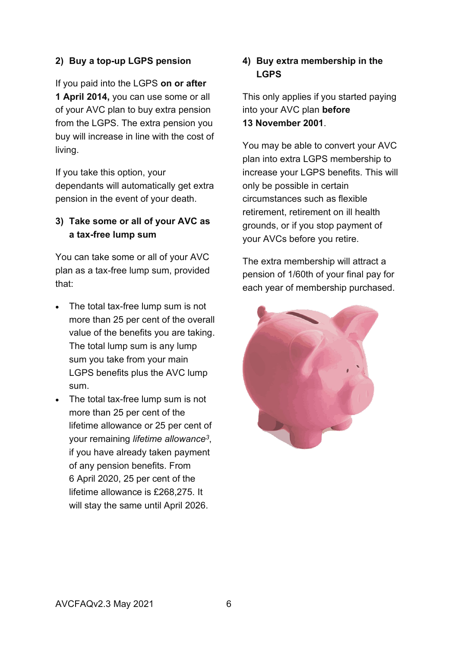#### **2) Buy a top-up LGPS pension**

If you paid into the LGPS **on or after 1 April 2014,** you can use some or all of your AVC plan to buy extra pension from the LGPS. The extra pension you buy will increase in line with the cost of living.

If you take this option, your dependants will automatically get extra pension in the event of your death.

#### **3) Take some or all of your AVC as a tax-free lump sum**

You can take some or all of your AVC plan as a tax-free lump sum, provided that:

- The total tax-free lump sum is not more than 25 per cent of the overall value of the benefits you are taking. The total lump sum is any lump sum you take from your main LGPS benefits plus the AVC lump sum.
- The total tax-free lump sum is not more than 25 per cent of the lifetime allowance or 25 per cent of your remaining *lifetime allowance<sup>3</sup>* , if you have already taken payment of any pension benefits. From 6 April 2020, 25 per cent of the lifetime allowance is £268,275. It will stay the same until April 2026.

#### **4) Buy extra membership in the LGPS**

This only applies if you started paying into your AVC plan **before 13 November 2001**.

You may be able to convert your AVC plan into extra LGPS membership to increase your LGPS benefits. This will only be possible in certain circumstances such as flexible retirement, retirement on ill health grounds, or if you stop payment of your AVCs before you retire.

The extra membership will attract a pension of 1/60th of your final pay for each year of membership purchased.

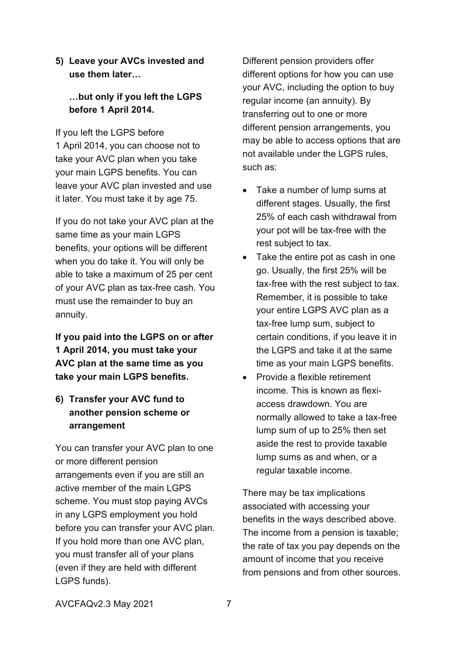#### **5) Leave your AVCs invested and use them later…**

## **…but only if you left the LGPS before 1 April 2014.**

If you left the LGPS before 1 April 2014, you can choose not to take your AVC plan when you take your main LGPS benefits. You can leave your AVC plan invested and use it later. You must take it by age 75.

If you do not take your AVC plan at the same time as your main LGPS benefits, your options will be different when you do take it. You will only be able to take a maximum of 25 per cent of your AVC plan as tax-free cash. You must use the remainder to buy an annuity.

**If you paid into the LGPS on or after 1 April 2014, you must take your AVC plan at the same time as you take your main LGPS benefits.**

**6) Transfer your AVC fund to another pension scheme or arrangement**

You can transfer your AVC plan to one or more different pension arrangements even if you are still an active member of the main LGPS scheme. You must stop paying AVCs in any LGPS employment you hold before you can transfer your AVC plan. If you hold more than one AVC plan, you must transfer all of your plans (even if they are held with different LGPS funds).

Different pension providers offer different options for how you can use your AVC, including the option to buy regular income (an annuity). By transferring out to one or more different pension arrangements, you may be able to access options that are not available under the LGPS rules, such as:

- Take a number of lump sums at different stages. Usually, the first 25% of each cash withdrawal from your pot will be tax-free with the rest subject to tax.
- Take the entire pot as cash in one go. Usually, the first 25% will be tax-free with the rest subject to tax. Remember, it is possible to take your entire LGPS AVC plan as a tax-free lump sum, subject to certain conditions, if you leave it in the LGPS and take it at the same time as your main LGPS benefits.
- Provide a flexible retirement income. This is known as flexiaccess drawdown. You are normally allowed to take a tax-free lump sum of up to 25% then set aside the rest to provide taxable lump sums as and when, or a regular taxable income.

There may be tax implications associated with accessing your benefits in the ways described above. The income from a pension is taxable; the rate of tax you pay depends on the amount of income that you receive from pensions and from other sources.

AVCFAQv2.3 May 2021 7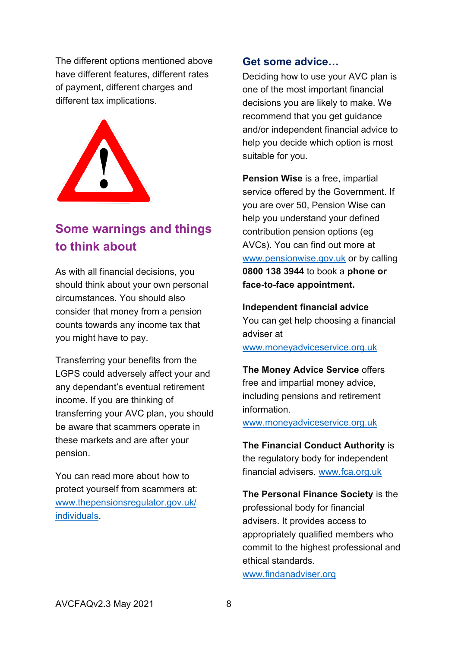The different options mentioned above have different features, different rates of payment, different charges and different tax implications.



# **Some warnings and things to think about**

As with all financial decisions, you should think about your own personal circumstances. You should also consider that money from a pension counts towards any income tax that you might have to pay.

Transferring your benefits from the LGPS could adversely affect your and any dependant's eventual retirement income. If you are thinking of transferring your AVC plan, you should be aware that scammers operate in these markets and are after your pension.

You can read more about how to protect yourself from scammers at: [www.thepensionsregulator.gov.uk/](http://www.thepensionsregulator.gov.uk/individuals) [individuals.](http://www.thepensionsregulator.gov.uk/individuals)

#### **Get some advice…**

Deciding how to use your AVC plan is one of the most important financial decisions you are likely to make. We recommend that you get guidance and/or independent financial advice to help you decide which option is most suitable for you.

**Pension Wise** is a free, impartial service offered by the Government. If you are over 50, Pension Wise can help you understand your defined contribution pension options (eg AVCs). You can find out more at [www.pensionwise.gov.uk](http://www.pensionwise.gov.uk/) or by calling **0800 138 3944** to book a **phone or face-to-face appointment.**

**Independent financial advice**  You can get help choosing a financial adviser at [www.moneyadviceservice.org.uk](http://www.moneyadviceservice.org.uk/)

**The Money Advice Service** offers free and impartial money advice, including pensions and retirement information.

[www.moneyadviceservice.org.uk](http://www.moneyadviceservice.org.uk/)

**The Financial Conduct Authority** is the regulatory body for independent financial advisers. [www.fca.org.uk](http://www.fca.org.uk/)

**The Personal Finance Society** is the professional body for financial advisers. It provides access to appropriately qualified members who commit to the highest professional and ethical standards.

[www.findanadviser.org](http://www.findanadviser.org/)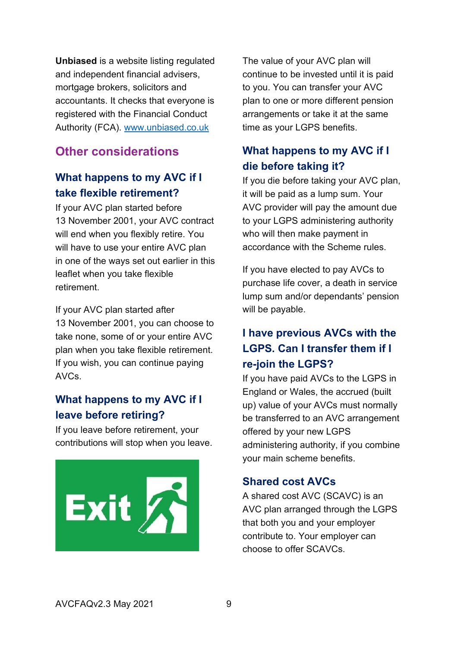**Unbiased** is a website listing regulated and independent financial advisers, mortgage brokers, solicitors and accountants. It checks that everyone is registered with the Financial Conduct Authority (FCA). [www.unbiased.co.uk](http://www.unbiased.co.uk/)

# **Other considerations**

# **What happens to my AVC if I take flexible retirement?**

If your AVC plan started before 13 November 2001, your AVC contract will end when you flexibly retire. You will have to use your entire AVC plan in one of the ways set out earlier in this leaflet when you take flexible retirement.

If your AVC plan started after 13 November 2001, you can choose to take none, some of or your entire AVC plan when you take flexible retirement. If you wish, you can continue paying AVCs.

# **What happens to my AVC if I leave before retiring?**

If you leave before retirement, your contributions will stop when you leave.



The value of your AVC plan will continue to be invested until it is paid to you. You can transfer your AVC plan to one or more different pension arrangements or take it at the same time as your LGPS benefits.

# **What happens to my AVC if I die before taking it?**

If you die before taking your AVC plan, it will be paid as a lump sum. Your AVC provider will pay the amount due to your LGPS administering authority who will then make payment in accordance with the Scheme rules.

If you have elected to pay AVCs to purchase life cover, a death in service lump sum and/or dependants' pension will be payable.

# **I have previous AVCs with the LGPS. Can I transfer them if I re-join the LGPS?**

If you have paid AVCs to the LGPS in England or Wales, the accrued (built up) value of your AVCs must normally be transferred to an AVC arrangement offered by your new LGPS administering authority, if you combine your main scheme benefits.

## **Shared cost AVCs**

A shared cost AVC (SCAVC) is an AVC plan arranged through the LGPS that both you and your employer contribute to. Your employer can choose to offer SCAVCs.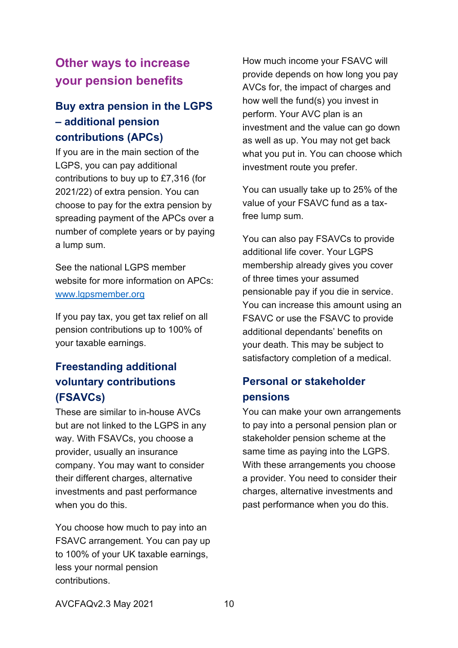# **Other ways to increase your pension benefits**

# **Buy extra pension in the LGPS – additional pension contributions (APCs)**

If you are in the main section of the LGPS, you can pay additional contributions to buy up to £7,316 (for 2021/22) of extra pension. You can choose to pay for the extra pension by spreading payment of the APCs over a number of complete years or by paying a lump sum.

See the national LGPS member website for more information on APCs: [www.lgpsmember.org](http://www.lgpsmember.org/)

If you pay tax, you get tax relief on all pension contributions up to 100% of your taxable earnings.

# **Freestanding additional voluntary contributions (FSAVCs)**

These are similar to in-house AVCs but are not linked to the LGPS in any way. With FSAVCs, you choose a provider, usually an insurance company. You may want to consider their different charges, alternative investments and past performance when you do this.

You choose how much to pay into an FSAVC arrangement. You can pay up to 100% of your UK taxable earnings, less your normal pension contributions.

How much income your FSAVC will provide depends on how long you pay AVCs for, the impact of charges and how well the fund(s) you invest in perform. Your AVC plan is an investment and the value can go down as well as up. You may not get back what you put in. You can choose which investment route you prefer.

You can usually take up to 25% of the value of your FSAVC fund as a taxfree lump sum.

You can also pay FSAVCs to provide additional life cover. Your LGPS membership already gives you cover of three times your assumed pensionable pay if you die in service. You can increase this amount using an FSAVC or use the FSAVC to provide additional dependants' benefits on your death. This may be subject to satisfactory completion of a medical.

# **Personal or stakeholder pensions**

You can make your own arrangements to pay into a personal pension plan or stakeholder pension scheme at the same time as paying into the LGPS. With these arrangements you choose a provider. You need to consider their charges, alternative investments and past performance when you do this.

AVCFAQv2.3 May 2021 10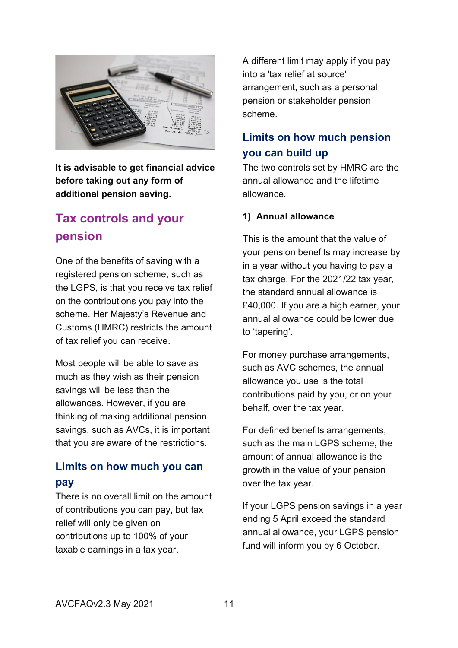

**It is advisable to get financial advice before taking out any form of additional pension saving.**

# <span id="page-10-0"></span>**Tax controls and your pension**

One of the benefits of saving with a registered pension scheme, such as the LGPS, is that you receive tax relief on the contributions you pay into the scheme. Her Majesty's Revenue and Customs (HMRC) restricts the amount of tax relief you can receive.

Most people will be able to save as much as they wish as their pension savings will be less than the allowances. However, if you are thinking of making additional pension savings, such as AVCs, it is important that you are aware of the restrictions.

# **Limits on how much you can pay**

There is no overall limit on the amount of contributions you can pay, but tax relief will only be given on contributions up to 100% of your taxable earnings in a tax year.

A different limit may apply if you pay into a 'tax relief at source' arrangement, such as a personal pension or stakeholder pension scheme.

# **Limits on how much pension you can build up**

The two controls set by HMRC are the annual allowance and the lifetime allowance.

#### **1) Annual allowance**

This is the amount that the value of your pension benefits may increase by in a year without you having to pay a tax charge. For the 2021/22 tax year, the standard annual allowance is £40,000. If you are a high earner, your annual allowance could be lower due to 'tapering'.

For money purchase arrangements, such as AVC schemes, the annual allowance you use is the total contributions paid by you, or on your behalf, over the tax year.

For defined benefits arrangements, such as the main LGPS scheme, the amount of annual allowance is the growth in the value of your pension over the tax year.

If your LGPS pension savings in a year ending 5 April exceed the standard annual allowance, your LGPS pension fund will inform you by 6 October.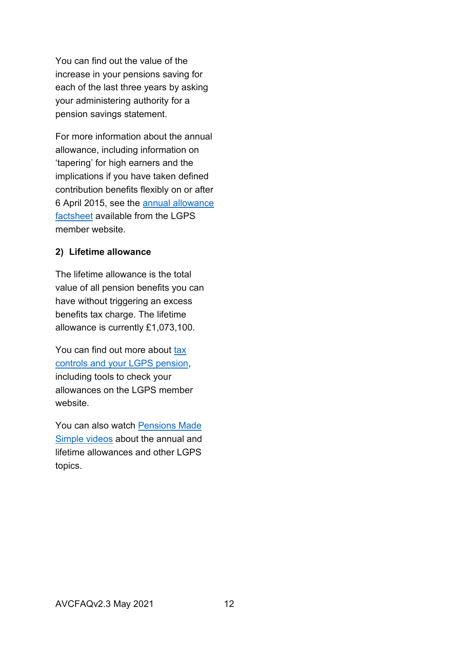You can find out the value of the increase in your pensions saving for each of the last three years by asking your administering authority for a pension savings statement.

For more information about the annual allowance, including information on 'tapering' for high earners and the implications if you have taken defined contribution benefits flexibly on or after 6 April 2015, see the [annual allowance](http://www.lgpsmember.org/ats/abouttax.php)  [factsheet](http://www.lgpsmember.org/ats/abouttax.php) available from the LGPS member website.

#### **2) Lifetime allowance**

The lifetime allowance is the total value of all pension benefits you can have without triggering an excess benefits tax charge. The lifetime allowance is currently £1,073,100.

You can find out more about tax [controls and your LGPS pension,](https://www.lgpsmember.org/ats/about-tax.php) including tools to check your allowances on the LGPS member website.

You can also watch [Pensions Made](http://www.lgpsmember.org/more/Videos.php)  [Simple videos](http://www.lgpsmember.org/more/Videos.php) about the annual and lifetime allowances and other LGPS topics.